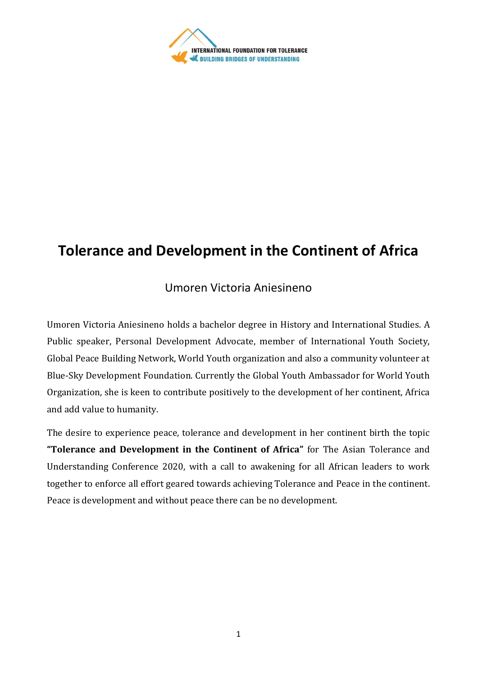

# **Tolerance and Development in the Continent of Africa**

# Umoren Victoria Aniesineno

Umoren Victoria Aniesineno holds a bachelor degree in History and International Studies. A Public speaker, Personal Development Advocate, member of International Youth Society, Global Peace Building Network, World Youth organization and also a community volunteer at Blue-Sky Development Foundation. Currently the Global Youth Ambassador for World Youth Organization, she is keen to contribute positively to the development of her continent, Africa and add value to humanity.

The desire to experience peace, tolerance and development in her continent birth the topic **"Tolerance and Development in the Continent of Africa"** for The Asian Tolerance and Understanding Conference 2020, with a call to awakening for all African leaders to work together to enforce all effort geared towards achieving Tolerance and Peace in the continent. Peace is development and without peace there can be no development.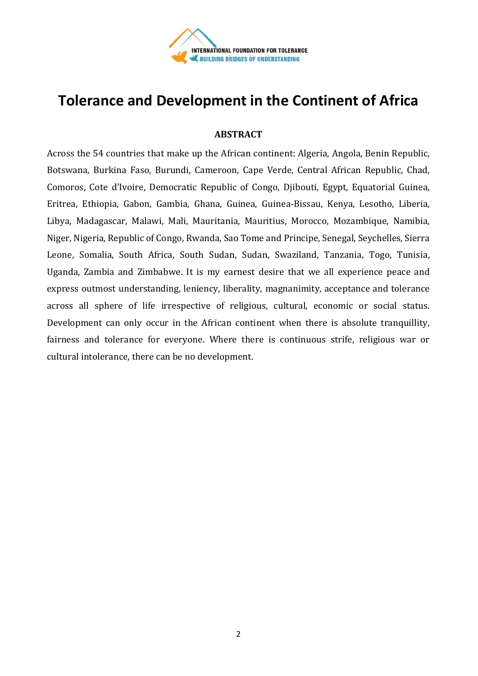

# **Tolerance and Development in the Continent of Africa**

# **ABSTRACT**

Across the 54 countries that make up the African continent: Algeria, Angola, Benin Republic, Botswana, Burkina Faso, Burundi, Cameroon, Cape Verde, Central African Republic, Chad, Comoros, Cote d'Ivoire, Democratic Republic of Congo, Djibouti, Egypt, Equatorial Guinea, Eritrea, Ethiopia, Gabon, Gambia, Ghana, Guinea, Guinea-Bissau, Kenya, Lesotho, Liberia, Libya, Madagascar, Malawi, Mali, Mauritania, Mauritius, Morocco, Mozambique, Namibia, Niger, Nigeria, Republic of Congo, Rwanda, Sao Tome and Principe, Senegal, Seychelles, Sierra Leone, Somalia, South Africa, South Sudan, Sudan, Swaziland, Tanzania, Togo, Tunisia, Uganda, Zambia and Zimbabwe. It is my earnest desire that we all experience peace and express outmost understanding, leniency, liberality, magnanimity, acceptance and tolerance across all sphere of life irrespective of religious, cultural, economic or social status. Development can only occur in the African continent when there is absolute tranquillity, fairness and tolerance for everyone. Where there is continuous strife, religious war or cultural intolerance, there can be no development.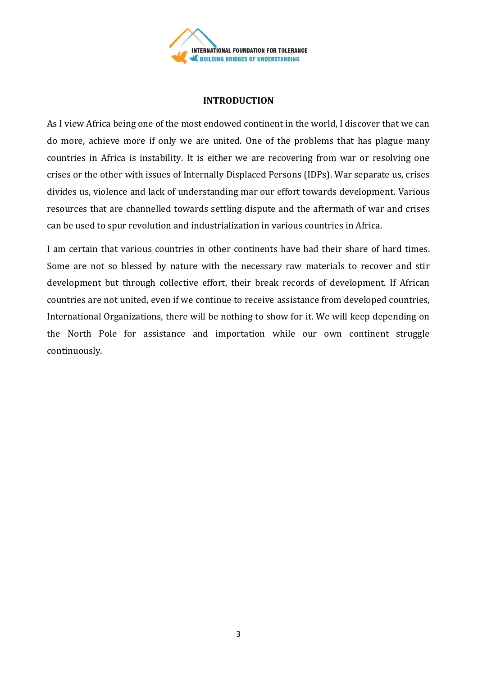

### **INTRODUCTION**

As I view Africa being one of the most endowed continent in the world, I discover that we can do more, achieve more if only we are united. One of the problems that has plague many countries in Africa is instability. It is either we are recovering from war or resolving one crises or the other with issues of Internally Displaced Persons (IDPs). War separate us, crises divides us, violence and lack of understanding mar our effort towards development. Various resources that are channelled towards settling dispute and the aftermath of war and crises can be used to spur revolution and industrialization in various countries in Africa.

I am certain that various countries in other continents have had their share of hard times. Some are not so blessed by nature with the necessary raw materials to recover and stir development but through collective effort, their break records of development. If African countries are not united, even if we continue to receive assistance from developed countries, International Organizations, there will be nothing to show for it. We will keep depending on the North Pole for assistance and importation while our own continent struggle continuously.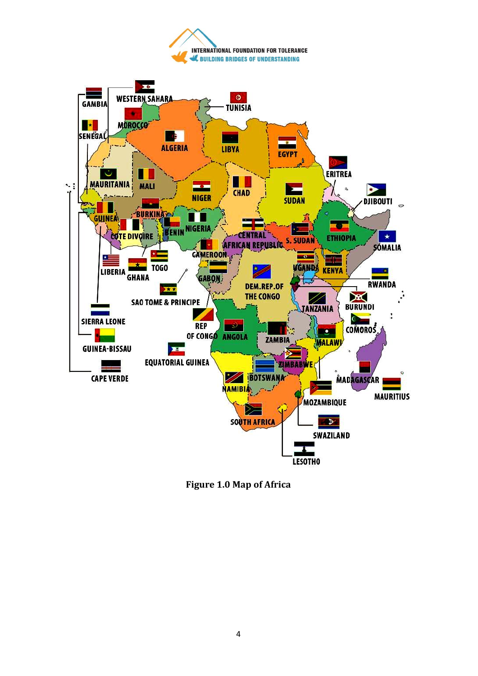



**Figure 1.0 Map of Africa**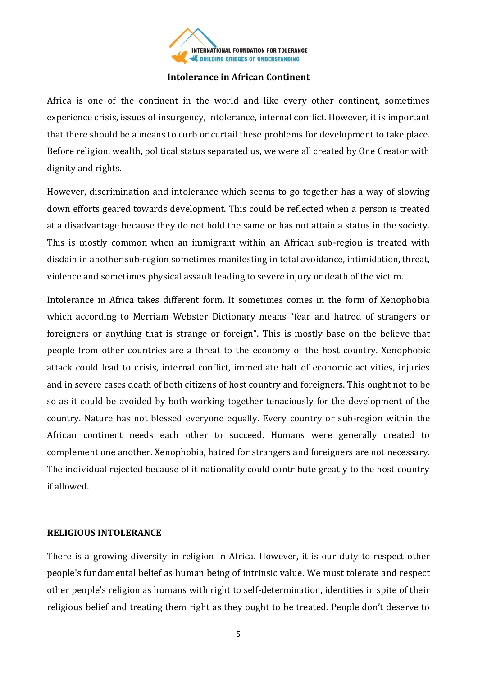

### **Intolerance in African Continent**

Africa is one of the continent in the world and like every other continent, sometimes experience crisis, issues of insurgency, intolerance, internal conflict. However, it is important that there should be a means to curb or curtail these problems for development to take place. Before religion, wealth, political status separated us, we were all created by One Creator with dignity and rights.

However, discrimination and intolerance which seems to go together has a way of slowing down efforts geared towards development. This could be reflected when a person is treated at a disadvantage because they do not hold the same or has not attain a status in the society. This is mostly common when an immigrant within an African sub-region is treated with disdain in another sub-region sometimes manifesting in total avoidance, intimidation, threat, violence and sometimes physical assault leading to severe injury or death of the victim.

Intolerance in Africa takes different form. It sometimes comes in the form of Xenophobia which according to Merriam Webster Dictionary means "fear and hatred of strangers or foreigners or anything that is strange or foreign". This is mostly base on the believe that people from other countries are a threat to the economy of the host country. Xenophobic attack could lead to crisis, internal conflict, immediate halt of economic activities, injuries and in severe cases death of both citizens of host country and foreigners. This ought not to be so as it could be avoided by both working together tenaciously for the development of the country. Nature has not blessed everyone equally. Every country or sub-region within the African continent needs each other to succeed. Humans were generally created to complement one another. Xenophobia, hatred for strangers and foreigners are not necessary. The individual rejected because of it nationality could contribute greatly to the host country if allowed.

#### **RELIGIOUS INTOLERANCE**

There is a growing diversity in religion in Africa. However, it is our duty to respect other people's fundamental belief as human being of intrinsic value. We must tolerate and respect other people's religion as humans with right to self-determination, identities in spite of their religious belief and treating them right as they ought to be treated. People don't deserve to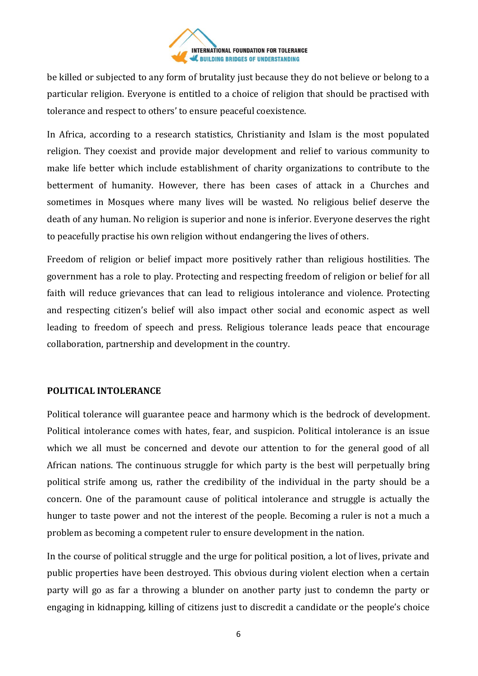

be killed or subjected to any form of brutality just because they do not believe or belong to a particular religion. Everyone is entitled to a choice of religion that should be practised with tolerance and respect to others' to ensure peaceful coexistence.

In Africa, according to a research statistics, Christianity and Islam is the most populated religion. They coexist and provide major development and relief to various community to make life better which include establishment of charity organizations to contribute to the betterment of humanity. However, there has been cases of attack in a Churches and sometimes in Mosques where many lives will be wasted. No religious belief deserve the death of any human. No religion is superior and none is inferior. Everyone deserves the right to peacefully practise his own religion without endangering the lives of others.

Freedom of religion or belief impact more positively rather than religious hostilities. The government has a role to play. Protecting and respecting freedom of religion or belief for all faith will reduce grievances that can lead to religious intolerance and violence. Protecting and respecting citizen's belief will also impact other social and economic aspect as well leading to freedom of speech and press. Religious tolerance leads peace that encourage collaboration, partnership and development in the country.

# **POLITICAL INTOLERANCE**

Political tolerance will guarantee peace and harmony which is the bedrock of development. Political intolerance comes with hates, fear, and suspicion. Political intolerance is an issue which we all must be concerned and devote our attention to for the general good of all African nations. The continuous struggle for which party is the best will perpetually bring political strife among us, rather the credibility of the individual in the party should be a concern. One of the paramount cause of political intolerance and struggle is actually the hunger to taste power and not the interest of the people. Becoming a ruler is not a much a problem as becoming a competent ruler to ensure development in the nation.

In the course of political struggle and the urge for political position, a lot of lives, private and public properties have been destroyed. This obvious during violent election when a certain party will go as far a throwing a blunder on another party just to condemn the party or engaging in kidnapping, killing of citizens just to discredit a candidate or the people's choice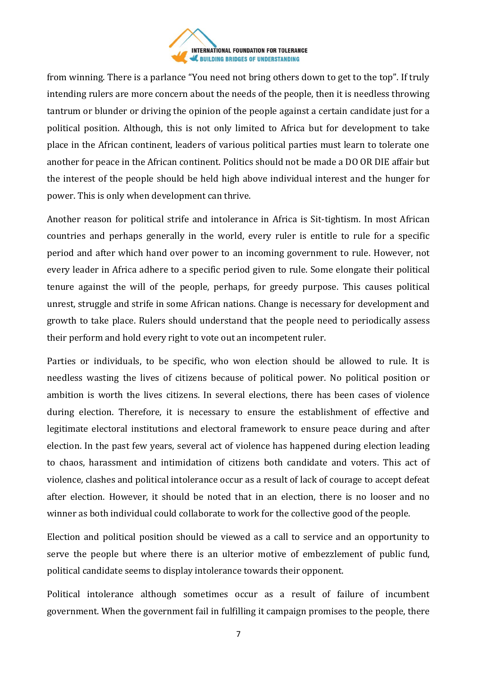

from winning. There is a parlance "You need not bring others down to get to the top". If truly intending rulers are more concern about the needs of the people, then it is needless throwing tantrum or blunder or driving the opinion of the people against a certain candidate just for a political position. Although, this is not only limited to Africa but for development to take place in the African continent, leaders of various political parties must learn to tolerate one another for peace in the African continent. Politics should not be made a DO OR DIE affair but the interest of the people should be held high above individual interest and the hunger for power. This is only when development can thrive.

Another reason for political strife and intolerance in Africa is Sit-tightism. In most African countries and perhaps generally in the world, every ruler is entitle to rule for a specific period and after which hand over power to an incoming government to rule. However, not every leader in Africa adhere to a specific period given to rule. Some elongate their political tenure against the will of the people, perhaps, for greedy purpose. This causes political unrest, struggle and strife in some African nations. Change is necessary for development and growth to take place. Rulers should understand that the people need to periodically assess their perform and hold every right to vote out an incompetent ruler.

Parties or individuals, to be specific, who won election should be allowed to rule. It is needless wasting the lives of citizens because of political power. No political position or ambition is worth the lives citizens. In several elections, there has been cases of violence during election. Therefore, it is necessary to ensure the establishment of effective and legitimate electoral institutions and electoral framework to ensure peace during and after election. In the past few years, several act of violence has happened during election leading to chaos, harassment and intimidation of citizens both candidate and voters. This act of violence, clashes and political intolerance occur as a result of lack of courage to accept defeat after election. However, it should be noted that in an election, there is no looser and no winner as both individual could collaborate to work for the collective good of the people.

Election and political position should be viewed as a call to service and an opportunity to serve the people but where there is an ulterior motive of embezzlement of public fund, political candidate seems to display intolerance towards their opponent.

Political intolerance although sometimes occur as a result of failure of incumbent government. When the government fail in fulfilling it campaign promises to the people, there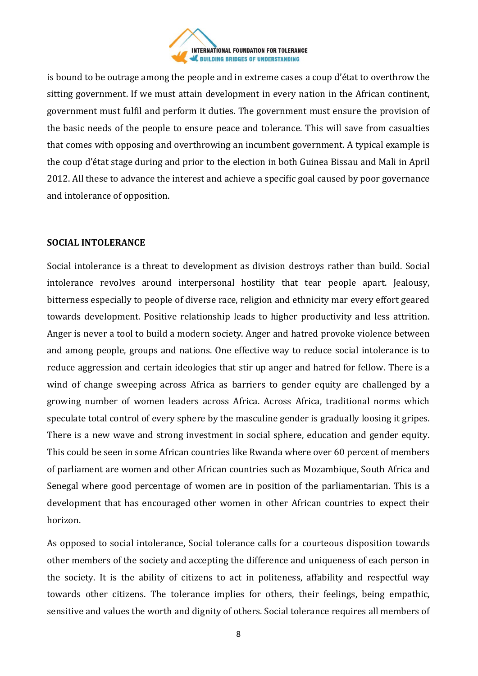

is bound to be outrage among the people and in extreme cases a coup d'état to overthrow the sitting government. If we must attain development in every nation in the African continent, government must fulfil and perform it duties. The government must ensure the provision of the basic needs of the people to ensure peace and tolerance. This will save from casualties that comes with opposing and overthrowing an incumbent government. A typical example is the coup d'état stage during and prior to the election in both Guinea Bissau and Mali in April 2012. All these to advance the interest and achieve a specific goal caused by poor governance and intolerance of opposition.

### **SOCIAL INTOLERANCE**

Social intolerance is a threat to development as division destroys rather than build. Social intolerance revolves around interpersonal hostility that tear people apart. Jealousy, bitterness especially to people of diverse race, religion and ethnicity mar every effort geared towards development. Positive relationship leads to higher productivity and less attrition. Anger is never a tool to build a modern society. Anger and hatred provoke violence between and among people, groups and nations. One effective way to reduce social intolerance is to reduce aggression and certain ideologies that stir up anger and hatred for fellow. There is a wind of change sweeping across Africa as barriers to gender equity are challenged by a growing number of women leaders across Africa. Across Africa, traditional norms which speculate total control of every sphere by the masculine gender is gradually loosing it gripes. There is a new wave and strong investment in social sphere, education and gender equity. This could be seen in some African countries like Rwanda where over 60 percent of members of parliament are women and other African countries such as Mozambique, South Africa and Senegal where good percentage of women are in position of the parliamentarian. This is a development that has encouraged other women in other African countries to expect their horizon.

As opposed to social intolerance, Social tolerance calls for a courteous disposition towards other members of the society and accepting the difference and uniqueness of each person in the society. It is the ability of citizens to act in politeness, affability and respectful way towards other citizens. The tolerance implies for others, their feelings, being empathic, sensitive and values the worth and dignity of others. Social tolerance requires all members of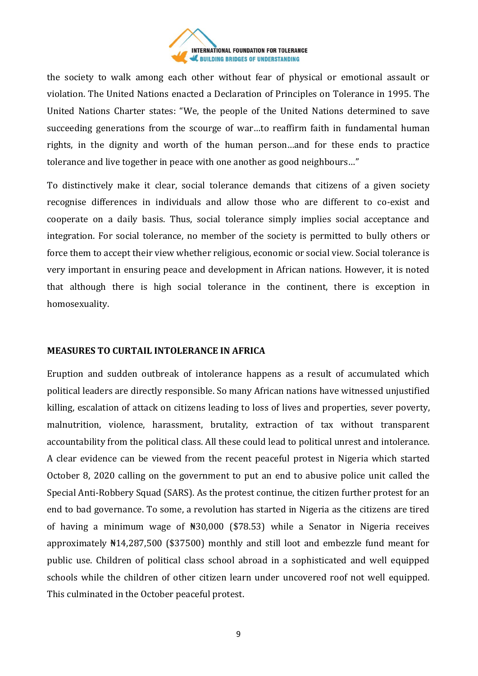

the society to walk among each other without fear of physical or emotional assault or violation. The United Nations enacted a Declaration of Principles on Tolerance in 1995. The United Nations Charter states: "We, the people of the United Nations determined to save succeeding generations from the scourge of war…to reaffirm faith in fundamental human rights, in the dignity and worth of the human person…and for these ends to practice tolerance and live together in peace with one another as good neighbours…"

To distinctively make it clear, social tolerance demands that citizens of a given society recognise differences in individuals and allow those who are different to co-exist and cooperate on a daily basis. Thus, social tolerance simply implies social acceptance and integration. For social tolerance, no member of the society is permitted to bully others or force them to accept their view whether religious, economic or social view. Social tolerance is very important in ensuring peace and development in African nations. However, it is noted that although there is high social tolerance in the continent, there is exception in homosexuality.

#### **MEASURES TO CURTAIL INTOLERANCE IN AFRICA**

Eruption and sudden outbreak of intolerance happens as a result of accumulated which political leaders are directly responsible. So many African nations have witnessed unjustified killing, escalation of attack on citizens leading to loss of lives and properties, sever poverty, malnutrition, violence, harassment, brutality, extraction of tax without transparent accountability from the political class. All these could lead to political unrest and intolerance. A clear evidence can be viewed from the recent peaceful protest in Nigeria which started October 8, 2020 calling on the government to put an end to abusive police unit called the Special Anti-Robbery Squad (SARS). As the protest continue, the citizen further protest for an end to bad governance. To some, a revolution has started in Nigeria as the citizens are tired of having a minimum wage of ₦30,000 (\$78.53) while a Senator in Nigeria receives approximately ₦14,287,500 (\$37500) monthly and still loot and embezzle fund meant for public use. Children of political class school abroad in a sophisticated and well equipped schools while the children of other citizen learn under uncovered roof not well equipped. This culminated in the October peaceful protest.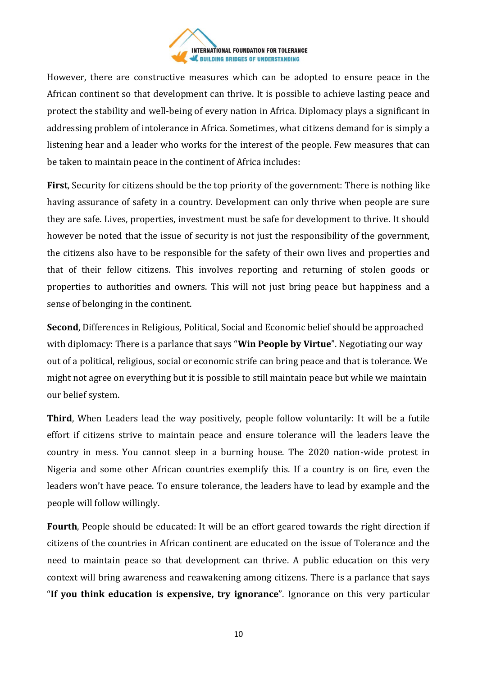

However, there are constructive measures which can be adopted to ensure peace in the African continent so that development can thrive. It is possible to achieve lasting peace and protect the stability and well-being of every nation in Africa. Diplomacy plays a significant in addressing problem of intolerance in Africa. Sometimes, what citizens demand for is simply a listening hear and a leader who works for the interest of the people. Few measures that can be taken to maintain peace in the continent of Africa includes:

**First**, Security for citizens should be the top priority of the government: There is nothing like having assurance of safety in a country. Development can only thrive when people are sure they are safe. Lives, properties, investment must be safe for development to thrive. It should however be noted that the issue of security is not just the responsibility of the government, the citizens also have to be responsible for the safety of their own lives and properties and that of their fellow citizens. This involves reporting and returning of stolen goods or properties to authorities and owners. This will not just bring peace but happiness and a sense of belonging in the continent.

**Second**, Differences in Religious, Political, Social and Economic belief should be approached with diplomacy: There is a parlance that says "**Win People by Virtue**". Negotiating our way out of a political, religious, social or economic strife can bring peace and that is tolerance. We might not agree on everything but it is possible to still maintain peace but while we maintain our belief system.

**Third**, When Leaders lead the way positively, people follow voluntarily: It will be a futile effort if citizens strive to maintain peace and ensure tolerance will the leaders leave the country in mess. You cannot sleep in a burning house. The 2020 nation-wide protest in Nigeria and some other African countries exemplify this. If a country is on fire, even the leaders won't have peace. To ensure tolerance, the leaders have to lead by example and the people will follow willingly.

**Fourth**, People should be educated: It will be an effort geared towards the right direction if citizens of the countries in African continent are educated on the issue of Tolerance and the need to maintain peace so that development can thrive. A public education on this very context will bring awareness and reawakening among citizens. There is a parlance that says "**If you think education is expensive, try ignorance**". Ignorance on this very particular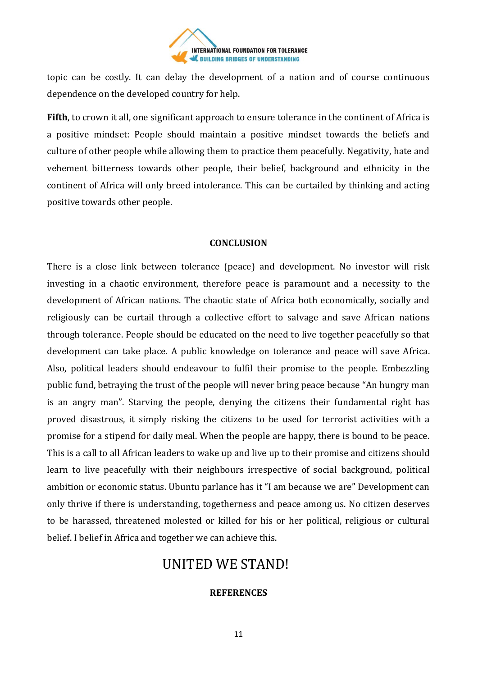

topic can be costly. It can delay the development of a nation and of course continuous dependence on the developed country for help.

**Fifth**, to crown it all, one significant approach to ensure tolerance in the continent of Africa is a positive mindset: People should maintain a positive mindset towards the beliefs and culture of other people while allowing them to practice them peacefully. Negativity, hate and vehement bitterness towards other people, their belief, background and ethnicity in the continent of Africa will only breed intolerance. This can be curtailed by thinking and acting positive towards other people.

### **CONCLUSION**

There is a close link between tolerance (peace) and development. No investor will risk investing in a chaotic environment, therefore peace is paramount and a necessity to the development of African nations. The chaotic state of Africa both economically, socially and religiously can be curtail through a collective effort to salvage and save African nations through tolerance. People should be educated on the need to live together peacefully so that development can take place. A public knowledge on tolerance and peace will save Africa. Also, political leaders should endeavour to fulfil their promise to the people. Embezzling public fund, betraying the trust of the people will never bring peace because "An hungry man is an angry man". Starving the people, denying the citizens their fundamental right has proved disastrous, it simply risking the citizens to be used for terrorist activities with a promise for a stipend for daily meal. When the people are happy, there is bound to be peace. This is a call to all African leaders to wake up and live up to their promise and citizens should learn to live peacefully with their neighbours irrespective of social background, political ambition or economic status. Ubuntu parlance has it "I am because we are" Development can only thrive if there is understanding, togetherness and peace among us. No citizen deserves to be harassed, threatened molested or killed for his or her political, religious or cultural belief. I belief in Africa and together we can achieve this.

# UNITED WE STAND!

# **REFERENCES**